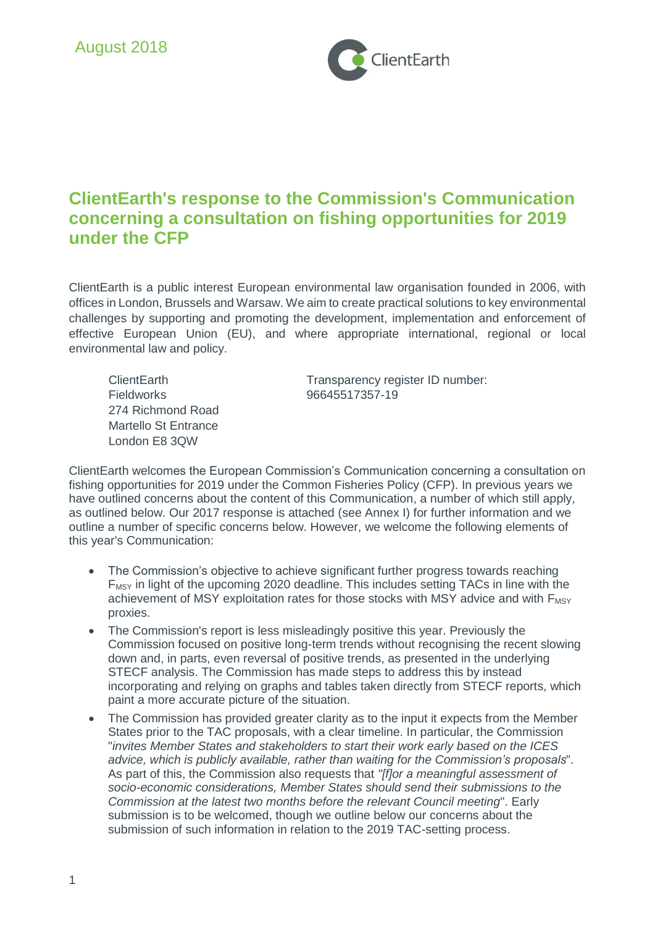

# **ClientEarth's response to the Commission's Communication concerning a consultation on fishing opportunities for 2019 under the CFP**

ClientEarth is a public interest European environmental law organisation founded in 2006, with offices in London, Brussels and Warsaw. We aim to create practical solutions to key environmental challenges by supporting and promoting the development, implementation and enforcement of effective European Union (EU), and where appropriate international, regional or local environmental law and policy.

Fieldworks 96645517357-19 274 Richmond Road Martello St Entrance London E8 3QW

ClientEarth Transparency register ID number:

ClientEarth welcomes the European Commission's Communication concerning a consultation on fishing opportunities for 2019 under the Common Fisheries Policy (CFP). In previous years we have outlined concerns about the content of this Communication, a number of which still apply, as outlined below. Our 2017 response is attached (see Annex I) for further information and we outline a number of specific concerns below. However, we welcome the following elements of this year's Communication:

- The Commission's objective to achieve significant further progress towards reaching  $F_{MSY}$  in light of the upcoming 2020 deadline. This includes setting TACs in line with the achievement of MSY exploitation rates for those stocks with MSY advice and with F<sub>MSY</sub> proxies.
- The Commission's report is less misleadingly positive this year. Previously the Commission focused on positive long-term trends without recognising the recent slowing down and, in parts, even reversal of positive trends, as presented in the underlying STECF analysis. The Commission has made steps to address this by instead incorporating and relying on graphs and tables taken directly from STECF reports, which paint a more accurate picture of the situation.
- The Commission has provided greater clarity as to the input it expects from the Member States prior to the TAC proposals, with a clear timeline. In particular, the Commission "*invites Member States and stakeholders to start their work early based on the ICES advice, which is publicly available, rather than waiting for the Commission's proposals*". As part of this, the Commission also requests that *"[f]or a meaningful assessment of socio-economic considerations, Member States should send their submissions to the Commission at the latest two months before the relevant Council meeting*". Early submission is to be welcomed, though we outline below our concerns about the submission of such information in relation to the 2019 TAC-setting process.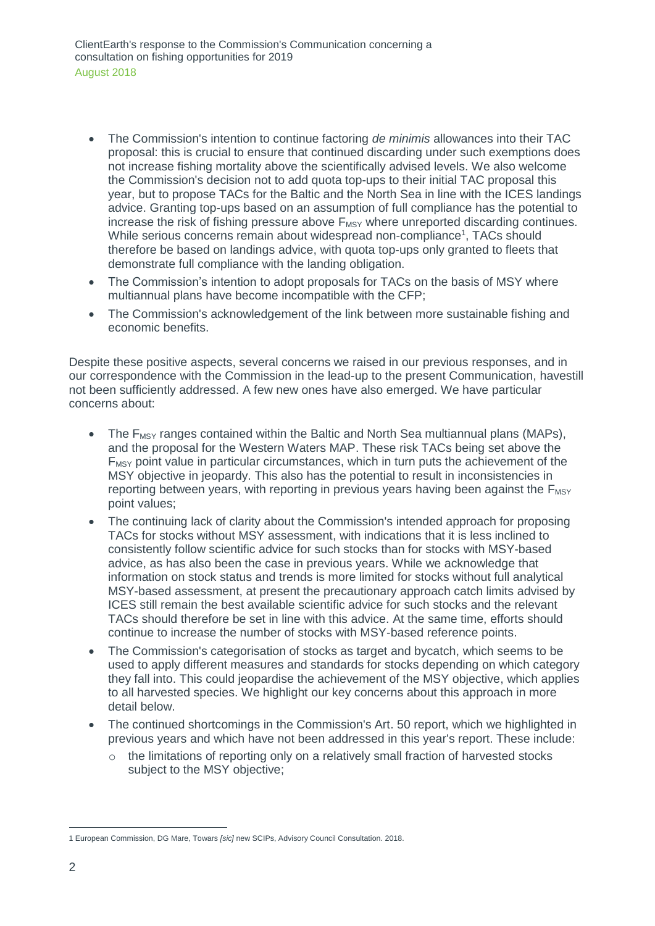- The Commission's intention to continue factoring *de minimis* allowances into their TAC proposal: this is crucial to ensure that continued discarding under such exemptions does not increase fishing mortality above the scientifically advised levels. We also welcome the Commission's decision not to add quota top-ups to their initial TAC proposal this year, but to propose TACs for the Baltic and the North Sea in line with the ICES landings advice. Granting top-ups based on an assumption of full compliance has the potential to increase the risk of fishing pressure above  $F_{MSY}$  where unreported discarding continues. While serious concerns remain about widespread non-compliance<sup>1</sup>, TACs should therefore be based on landings advice, with quota top-ups only granted to fleets that demonstrate full compliance with the landing obligation.
- The Commission's intention to adopt proposals for TACs on the basis of MSY where multiannual plans have become incompatible with the CFP;
- The Commission's acknowledgement of the link between more sustainable fishing and economic benefits.

Despite these positive aspects, several concerns we raised in our previous responses, and in our correspondence with the Commission in the lead-up to the present Communication, havestill not been sufficiently addressed. A few new ones have also emerged. We have particular concerns about:

- The  $F_{MSY}$  ranges contained within the Baltic and North Sea multiannual plans (MAPs), and the proposal for the Western Waters MAP. These risk TACs being set above the  $F_{MSY}$  point value in particular circumstances, which in turn puts the achievement of the MSY objective in jeopardy. This also has the potential to result in inconsistencies in reporting between years, with reporting in previous years having been against the  $F_{\text{MSY}}$ point values;
- The continuing lack of clarity about the Commission's intended approach for proposing TACs for stocks without MSY assessment, with indications that it is less inclined to consistently follow scientific advice for such stocks than for stocks with MSY-based advice, as has also been the case in previous years. While we acknowledge that information on stock status and trends is more limited for stocks without full analytical MSY-based assessment, at present the precautionary approach catch limits advised by ICES still remain the best available scientific advice for such stocks and the relevant TACs should therefore be set in line with this advice. At the same time, efforts should continue to increase the number of stocks with MSY-based reference points.
- The Commission's categorisation of stocks as target and bycatch, which seems to be used to apply different measures and standards for stocks depending on which category they fall into. This could jeopardise the achievement of the MSY objective, which applies to all harvested species. We highlight our key concerns about this approach in more detail below.
- The continued shortcomings in the Commission's Art. 50 report, which we highlighted in previous years and which have not been addressed in this year's report. These include:
	- $\circ$  the limitations of reporting only on a relatively small fraction of harvested stocks subject to the MSY objective;

<sup>1</sup> European Commission, DG Mare, Towars *[sic]* new SCIPs, Advisory Council Consultation. 2018.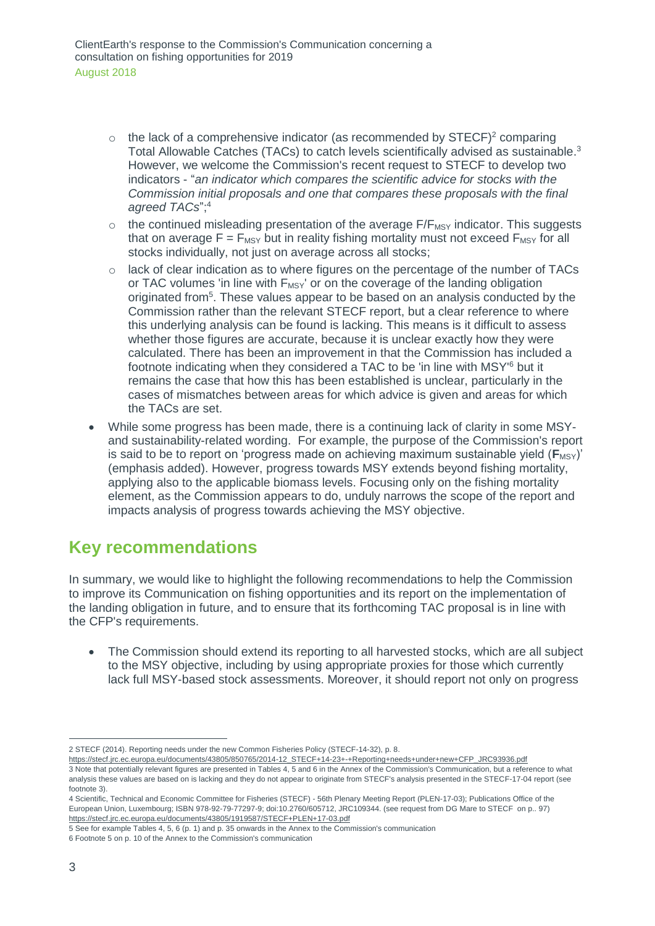- $\circ$  the lack of a comprehensive indicator (as recommended by STECF)<sup>2</sup> comparing Total Allowable Catches (TACs) to catch levels scientifically advised as sustainable.<sup>3</sup> However, we welcome the Commission's recent request to STECF to develop two indicators - "*an indicator which compares the scientific advice for stocks with the Commission initial proposals and one that compares these proposals with the final agreed TACs*"; 4
- $\circ$  the continued misleading presentation of the average  $F/F_{MSV}$  indicator. This suggests that on average  $F = F_{MSY}$  but in reality fishing mortality must not exceed  $F_{MSY}$  for all stocks individually, not just on average across all stocks;
- o lack of clear indication as to where figures on the percentage of the number of TACs or TAC volumes 'in line with F<sub>MSY</sub>' or on the coverage of the landing obligation originated from<sup>5</sup>. These values appear to be based on an analysis conducted by the Commission rather than the relevant STECF report, but a clear reference to where this underlying analysis can be found is lacking. This means is it difficult to assess whether those figures are accurate, because it is unclear exactly how they were calculated. There has been an improvement in that the Commission has included a footnote indicating when they considered a TAC to be 'in line with MSY'<sup>6</sup> but it remains the case that how this has been established is unclear, particularly in the cases of mismatches between areas for which advice is given and areas for which the TACs are set.
- While some progress has been made, there is a continuing lack of clarity in some MSYand sustainability-related wording. For example, the purpose of the Commission's report is said to be to report on 'progress made on achieving maximum sustainable yield  $(F_{MSY})'$ (emphasis added). However, progress towards MSY extends beyond fishing mortality, applying also to the applicable biomass levels. Focusing only on the fishing mortality element, as the Commission appears to do, unduly narrows the scope of the report and impacts analysis of progress towards achieving the MSY objective.

# **Key recommendations**

In summary, we would like to highlight the following recommendations to help the Commission to improve its Communication on fishing opportunities and its report on the implementation of the landing obligation in future, and to ensure that its forthcoming TAC proposal is in line with the CFP's requirements.

• The Commission should extend its reporting to all harvested stocks, which are all subject to the MSY objective, including by using appropriate proxies for those which currently lack full MSY-based stock assessments. Moreover, it should report not only on progress

[https://stecf.jrc.ec.europa.eu/documents/43805/850765/2014-12\\_STECF+14-23+-+Reporting+needs+under+new+CFP\\_JRC93936.pdf](https://stecf.jrc.ec.europa.eu/documents/43805/850765/2014-12_STECF+14-23+-+Reporting+needs+under+new+CFP_JRC93936.pdf)

4 Scientific, Technical and Economic Committee for Fisheries (STECF) - 56th Plenary Meeting Report (PLEN-17-03); Publications Office of the European Union, Luxembourg; ISBN 978-92-79-77297-9; doi:10.2760/605712, JRC109344. (see request from DG Mare to STECF on p.. 97) <https://stecf.jrc.ec.europa.eu/documents/43805/1919587/STECF+PLEN+17-03.pdf>

6 Footnote 5 on p. 10 of the Annex to the Commission's communication

<sup>2</sup> STECF (2014). Reporting needs under the new Common Fisheries Policy (STECF-14-32), p. 8.

<sup>3</sup> Note that potentially relevant figures are presented in Tables 4, 5 and 6 in the Annex of the Commission's Communication, but a reference to what analysis these values are based on is lacking and they do not appear to originate from STECF's analysis presented in the STECF-17-04 report (see footnote 3).

<sup>5</sup> See for example Tables 4, 5, 6 (p. 1) and p. 35 onwards in the Annex to the Commission's communication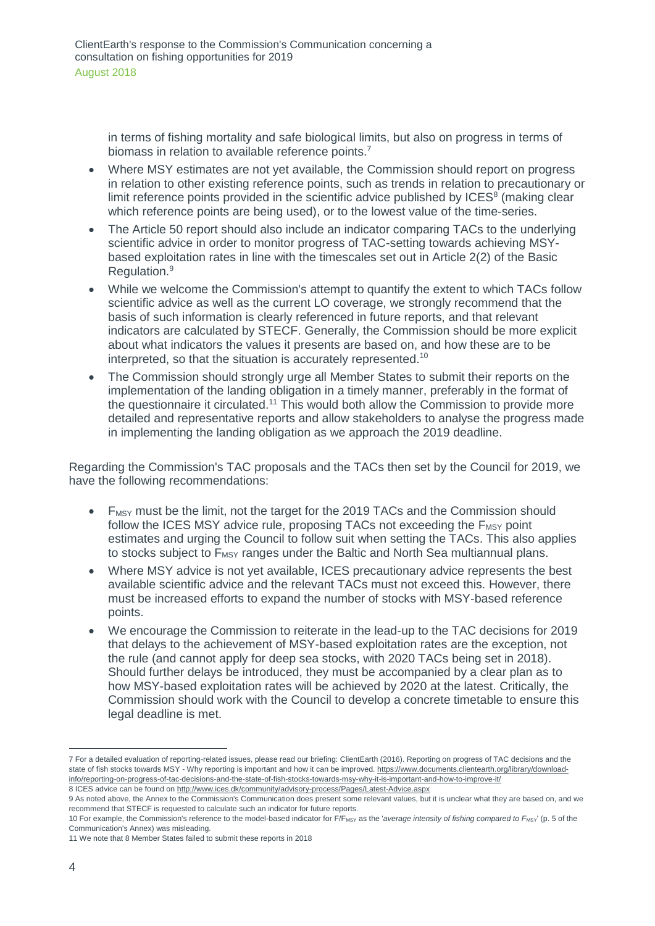in terms of fishing mortality and safe biological limits, but also on progress in terms of biomass in relation to available reference points.<sup>7</sup>

- Where MSY estimates are not yet available, the Commission should report on progress in relation to other existing reference points, such as trends in relation to precautionary or limit reference points provided in the scientific advice published by ICES<sup>8</sup> (making clear which reference points are being used), or to the lowest value of the time-series.
- The Article 50 report should also include an indicator comparing TACs to the underlying scientific advice in order to monitor progress of TAC-setting towards achieving MSYbased exploitation rates in line with the timescales set out in Article 2(2) of the Basic Regulation. 9
- While we welcome the Commission's attempt to quantify the extent to which TACs follow scientific advice as well as the current LO coverage, we strongly recommend that the basis of such information is clearly referenced in future reports, and that relevant indicators are calculated by STECF. Generally, the Commission should be more explicit about what indicators the values it presents are based on, and how these are to be interpreted, so that the situation is accurately represented. 10
- The Commission should strongly urge all Member States to submit their reports on the implementation of the landing obligation in a timely manner, preferably in the format of the questionnaire it circulated.<sup>11</sup> This would both allow the Commission to provide more detailed and representative reports and allow stakeholders to analyse the progress made in implementing the landing obligation as we approach the 2019 deadline.

Regarding the Commission's TAC proposals and the TACs then set by the Council for 2019, we have the following recommendations:

- F<sub>MSY</sub> must be the limit, not the target for the 2019 TACs and the Commission should follow the ICES MSY advice rule, proposing TACs not exceeding the  $F_{MSV}$  point estimates and urging the Council to follow suit when setting the TACs. This also applies to stocks subject to  $F_{\text{MSY}}$  ranges under the Baltic and North Sea multiannual plans.
- Where MSY advice is not yet available, ICES precautionary advice represents the best available scientific advice and the relevant TACs must not exceed this. However, there must be increased efforts to expand the number of stocks with MSY-based reference points.
- We encourage the Commission to reiterate in the lead-up to the TAC decisions for 2019 that delays to the achievement of MSY-based exploitation rates are the exception, not the rule (and cannot apply for deep sea stocks, with 2020 TACs being set in 2018). Should further delays be introduced, they must be accompanied by a clear plan as to how MSY-based exploitation rates will be achieved by 2020 at the latest. Critically, the Commission should work with the Council to develop a concrete timetable to ensure this legal deadline is met.

<sup>7</sup> For a detailed evaluation of reporting-related issues, please read our briefing: ClientEarth (2016). Reporting on progress of TAC decisions and the state of fish stocks towards MSY - Why reporting is important and how it can be improved[. https://www.documents.clientearth.org/library/download](https://www.documents.clientearth.org/library/download-info/reporting-on-progress-of-tac-decisions-and-the-state-of-fish-stocks-towards-msy-why-it-is-important-and-how-to-improve-it/)[info/reporting-on-progress-of-tac-decisions-and-the-state-of-fish-stocks-towards-msy-why-it-is-important-and-how-to-improve-it/](https://www.documents.clientearth.org/library/download-info/reporting-on-progress-of-tac-decisions-and-the-state-of-fish-stocks-towards-msy-why-it-is-important-and-how-to-improve-it/)

<sup>8</sup> ICES advice can be found o[n http://www.ices.dk/community/advisory-process/Pages/Latest-Advice.aspx](http://www.ices.dk/community/advisory-process/Pages/Latest-Advice.aspx)

<sup>9</sup> As noted above, the Annex to the Commission's Communication does present some relevant values, but it is unclear what they are based on, and we recommend that STECF is requested to calculate such an indicator for future reports.

<sup>10</sup> For example, the Commission's reference to the model-based indicator for F/F<sub>MSY</sub> as the '*average intensity of fishing compared to* F<sub>MSY</sub>' (p. 5 of the Communication's Annex) was misleading.

<sup>11</sup> We note that 8 Member States failed to submit these reports in 2018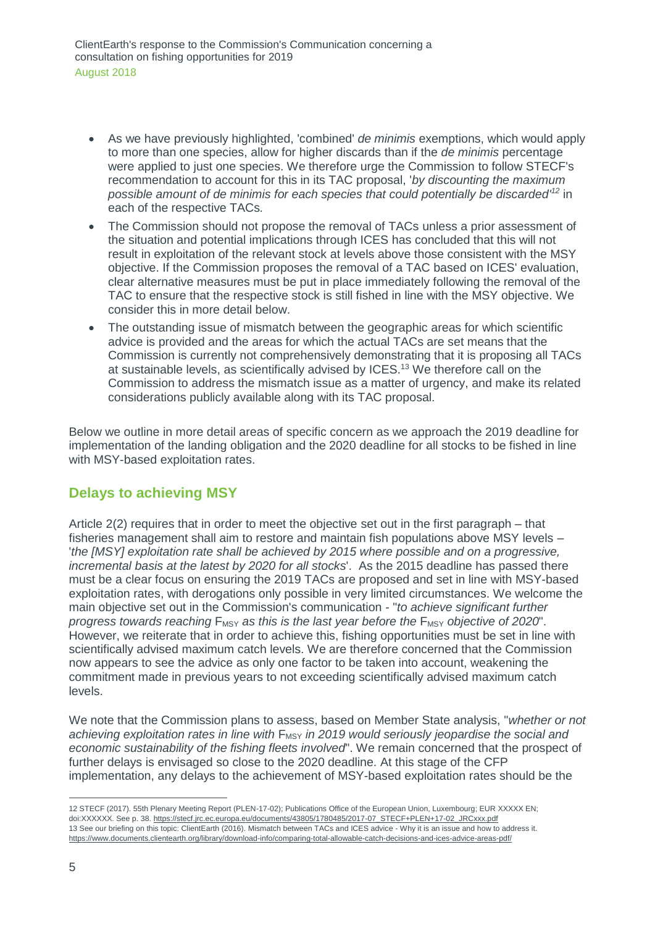- As we have previously highlighted, 'combined' *de minimis* exemptions, which would apply to more than one species, allow for higher discards than if the *de minimis* percentage were applied to just one species. We therefore urge the Commission to follow STECF's recommendation to account for this in its TAC proposal, '*by discounting the maximum possible amount of de minimis for each species that could potentially be discarded' <sup>12</sup>* in each of the respective TACs*.*
- The Commission should not propose the removal of TACs unless a prior assessment of the situation and potential implications through ICES has concluded that this will not result in exploitation of the relevant stock at levels above those consistent with the MSY objective. If the Commission proposes the removal of a TAC based on ICES' evaluation, clear alternative measures must be put in place immediately following the removal of the TAC to ensure that the respective stock is still fished in line with the MSY objective. We consider this in more detail below.
- The outstanding issue of mismatch between the geographic areas for which scientific advice is provided and the areas for which the actual TACs are set means that the Commission is currently not comprehensively demonstrating that it is proposing all TACs at sustainable levels, as scientifically advised by ICES.<sup>13</sup> We therefore call on the Commission to address the mismatch issue as a matter of urgency, and make its related considerations publicly available along with its TAC proposal.

Below we outline in more detail areas of specific concern as we approach the 2019 deadline for implementation of the landing obligation and the 2020 deadline for all stocks to be fished in line with MSY-based exploitation rates.

## **Delays to achieving MSY**

Article 2(2) requires that in order to meet the objective set out in the first paragraph – that fisheries management shall aim to restore and maintain fish populations above MSY levels – '*the [MSY] exploitation rate shall be achieved by 2015 where possible and on a progressive, incremental basis at the latest by 2020 for all stocks*'. As the 2015 deadline has passed there must be a clear focus on ensuring the 2019 TACs are proposed and set in line with MSY-based exploitation rates, with derogations only possible in very limited circumstances. We welcome the main objective set out in the Commission's communication - "*to achieve significant further progress towards reaching*  $F_{MSY}$  *as this is the last year before the*  $F_{MSY}$  *objective of 2020*". However, we reiterate that in order to achieve this, fishing opportunities must be set in line with scientifically advised maximum catch levels. We are therefore concerned that the Commission now appears to see the advice as only one factor to be taken into account, weakening the commitment made in previous years to not exceeding scientifically advised maximum catch levels.

We note that the Commission plans to assess, based on Member State analysis, "*whether or not*  achieving exploitation rates in line with  $F_{MSY}$  in 2019 would seriously jeopardise the social and *economic sustainability of the fishing fleets involved*". We remain concerned that the prospect of further delays is envisaged so close to the 2020 deadline. At this stage of the CFP implementation, any delays to the achievement of MSY-based exploitation rates should be the

<sup>12</sup> STECF (2017). 55th Plenary Meeting Report (PLEN-17-02); Publications Office of the European Union, Luxembourg; EUR XXXXX EN; doi:XXXXXX. See p. 38[. https://stecf.jrc.ec.europa.eu/documents/43805/1780485/2017-07\\_STECF+PLEN+17-02\\_JRCxxx.pdf](https://stecf.jrc.ec.europa.eu/documents/43805/1780485/2017-07_STECF+PLEN+17-02_JRCxxx.pdf)  13 See our briefing on this topic: ClientEarth (2016). Mismatch between TACs and ICES advice - Why it is an issue and how to address it. <https://www.documents.clientearth.org/library/download-info/comparing-total-allowable-catch-decisions-and-ices-advice-areas-pdf/>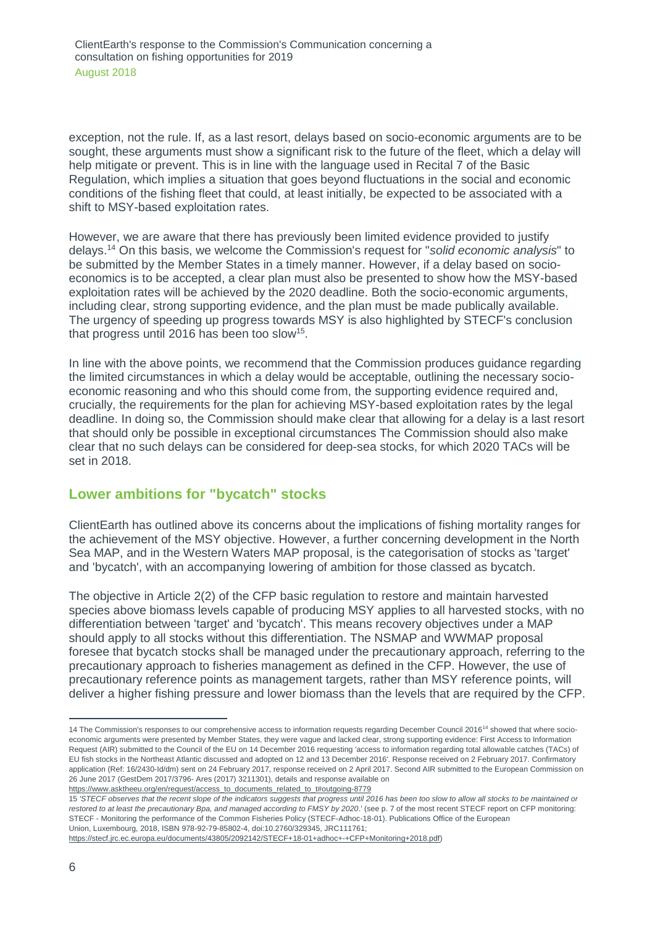exception, not the rule. If, as a last resort, delays based on socio-economic arguments are to be sought, these arguments must show a significant risk to the future of the fleet, which a delay will help mitigate or prevent. This is in line with the language used in Recital 7 of the Basic Regulation, which implies a situation that goes beyond fluctuations in the social and economic conditions of the fishing fleet that could, at least initially, be expected to be associated with a shift to MSY-based exploitation rates.

However, we are aware that there has previously been limited evidence provided to justify delays.<sup>14</sup> On this basis, we welcome the Commission's request for "*solid economic analysis*" to be submitted by the Member States in a timely manner. However, if a delay based on socioeconomics is to be accepted, a clear plan must also be presented to show how the MSY-based exploitation rates will be achieved by the 2020 deadline. Both the socio-economic arguments, including clear, strong supporting evidence, and the plan must be made publically available. The urgency of speeding up progress towards MSY is also highlighted by STECF's conclusion that progress until 2016 has been too slow<sup>15</sup>.

In line with the above points, we recommend that the Commission produces guidance regarding the limited circumstances in which a delay would be acceptable, outlining the necessary socioeconomic reasoning and who this should come from, the supporting evidence required and, crucially, the requirements for the plan for achieving MSY-based exploitation rates by the legal deadline. In doing so, the Commission should make clear that allowing for a delay is a last resort that should only be possible in exceptional circumstances The Commission should also make clear that no such delays can be considered for deep-sea stocks, for which 2020 TACs will be set in 2018.

#### **Lower ambitions for "bycatch" stocks**

ClientEarth has outlined above its concerns about the implications of fishing mortality ranges for the achievement of the MSY objective. However, a further concerning development in the North Sea MAP, and in the Western Waters MAP proposal, is the categorisation of stocks as 'target' and 'bycatch', with an accompanying lowering of ambition for those classed as bycatch.

The objective in Article 2(2) of the CFP basic regulation to restore and maintain harvested species above biomass levels capable of producing MSY applies to all harvested stocks, with no differentiation between 'target' and 'bycatch'. This means recovery objectives under a MAP should apply to all stocks without this differentiation. The NSMAP and WWMAP proposal foresee that bycatch stocks shall be managed under the precautionary approach, referring to the precautionary approach to fisheries management as defined in the CFP. However, the use of precautionary reference points as management targets, rather than MSY reference points, will deliver a higher fishing pressure and lower biomass than the levels that are required by the CFP.

<sup>14</sup> The Commission's responses to our comprehensive access to information requests regarding December Council 2016<sup>14</sup> showed that where socioeconomic arguments were presented by Member States, they were vague and lacked clear, strong supporting evidence: First Access to Information Request (AIR) submitted to the Council of the EU on 14 December 2016 requesting 'access to information regarding total allowable catches (TACs) of EU fish stocks in the Northeast Atlantic discussed and adopted on 12 and 13 December 2016'. Response received on 2 February 2017. Confirmatory application (Ref: 16/2430-Id/dm) sent on 24 February 2017, response received on 2 April 2017. Second AIR submitted to the European Commission on 26 June 2017 (GestDem 2017/3796- Ares (2017) 3211301), details and response available on [https://www.asktheeu.org/en/request/access\\_to\\_documents\\_related\\_to\\_t#outgoing-8779](https://www.asktheeu.org/en/request/access_to_documents_related_to_t#outgoing-8779)

<sup>15</sup> *'STECF observes that the recent slope of the indicators suggests that progress until 2016 has been too slow to allow all stocks to be maintained or restored to at least the precautionary Bpa, and managed according to FMSY by 2020*.' (see p. 7 of the most recent STECF report on CFP monitoring: STECF - Monitoring the performance of the Common Fisheries Policy (STECF-Adhoc-18-01). Publications Office of the European Union, Luxembourg, 2018, ISBN 978-92-79-85802-4, doi:10.2760/329345, JRC111761;

[https://stecf.jrc.ec.europa.eu/documents/43805/2092142/STECF+18-01+adhoc+-+CFP+Monitoring+2018.pdf\)](https://stecf.jrc.ec.europa.eu/documents/43805/2092142/STECF+18-01+adhoc+-+CFP+Monitoring+2018.pdf)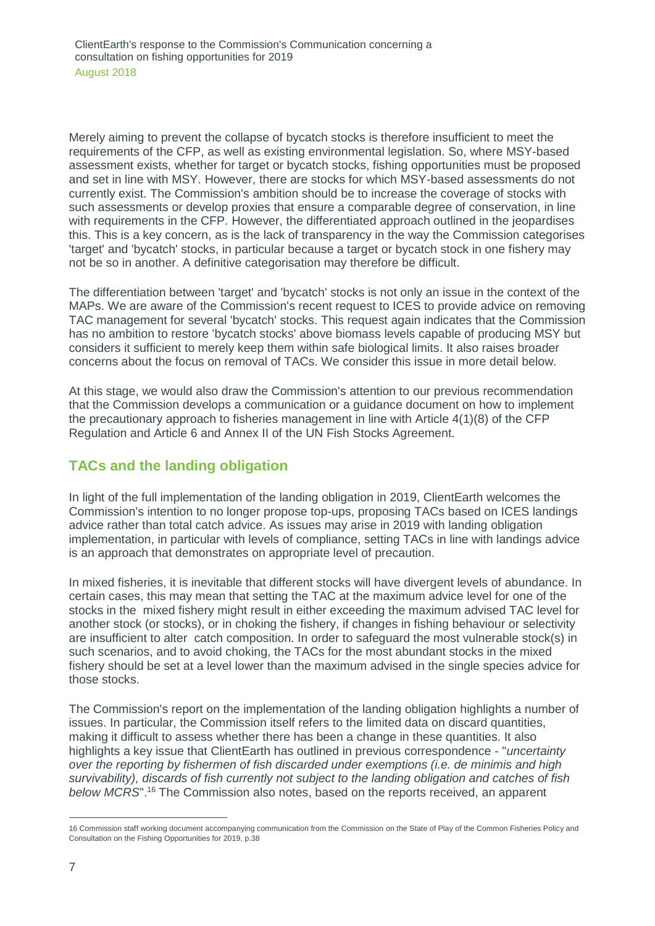Merely aiming to prevent the collapse of bycatch stocks is therefore insufficient to meet the requirements of the CFP, as well as existing environmental legislation. So, where MSY-based assessment exists, whether for target or bycatch stocks, fishing opportunities must be proposed and set in line with MSY. However, there are stocks for which MSY-based assessments do not currently exist. The Commission's ambition should be to increase the coverage of stocks with such assessments or develop proxies that ensure a comparable degree of conservation, in line with requirements in the CFP. However, the differentiated approach outlined in the jeopardises this. This is a key concern, as is the lack of transparency in the way the Commission categorises 'target' and 'bycatch' stocks, in particular because a target or bycatch stock in one fishery may not be so in another. A definitive categorisation may therefore be difficult.

The differentiation between 'target' and 'bycatch' stocks is not only an issue in the context of the MAPs. We are aware of the Commission's recent request to ICES to provide advice on removing TAC management for several 'bycatch' stocks. This request again indicates that the Commission has no ambition to restore 'bycatch stocks' above biomass levels capable of producing MSY but considers it sufficient to merely keep them within safe biological limits. It also raises broader concerns about the focus on removal of TACs. We consider this issue in more detail below.

At this stage, we would also draw the Commission's attention to our previous recommendation that the Commission develops a communication or a guidance document on how to implement the precautionary approach to fisheries management in line with Article 4(1)(8) of the CFP Regulation and Article 6 and Annex II of the UN Fish Stocks Agreement.

## **TACs and the landing obligation**

In light of the full implementation of the landing obligation in 2019, ClientEarth welcomes the Commission's intention to no longer propose top-ups, proposing TACs based on ICES landings advice rather than total catch advice. As issues may arise in 2019 with landing obligation implementation, in particular with levels of compliance, setting TACs in line with landings advice is an approach that demonstrates on appropriate level of precaution.

In mixed fisheries, it is inevitable that different stocks will have divergent levels of abundance. In certain cases, this may mean that setting the TAC at the maximum advice level for one of the stocks in the mixed fishery might result in either exceeding the maximum advised TAC level for another stock (or stocks), or in choking the fishery, if changes in fishing behaviour or selectivity are insufficient to alter catch composition. In order to safeguard the most vulnerable stock(s) in such scenarios, and to avoid choking, the TACs for the most abundant stocks in the mixed fishery should be set at a level lower than the maximum advised in the single species advice for those stocks.

The Commission's report on the implementation of the landing obligation highlights a number of issues. In particular, the Commission itself refers to the limited data on discard quantities, making it difficult to assess whether there has been a change in these quantities. It also highlights a key issue that ClientEarth has outlined in previous correspondence - "*uncertainty over the reporting by fishermen of fish discarded under exemptions (i.e. de minimis and high survivability), discards of fish currently not subject to the landing obligation and catches of fish below MCRS*". <sup>16</sup> The Commission also notes, based on the reports received, an apparent

<sup>16</sup> Commission staff working document accompanying communication from the Commission on the State of Play of the Common Fisheries Policy and Consultation on the Fishing Opportunities for 2019, p.38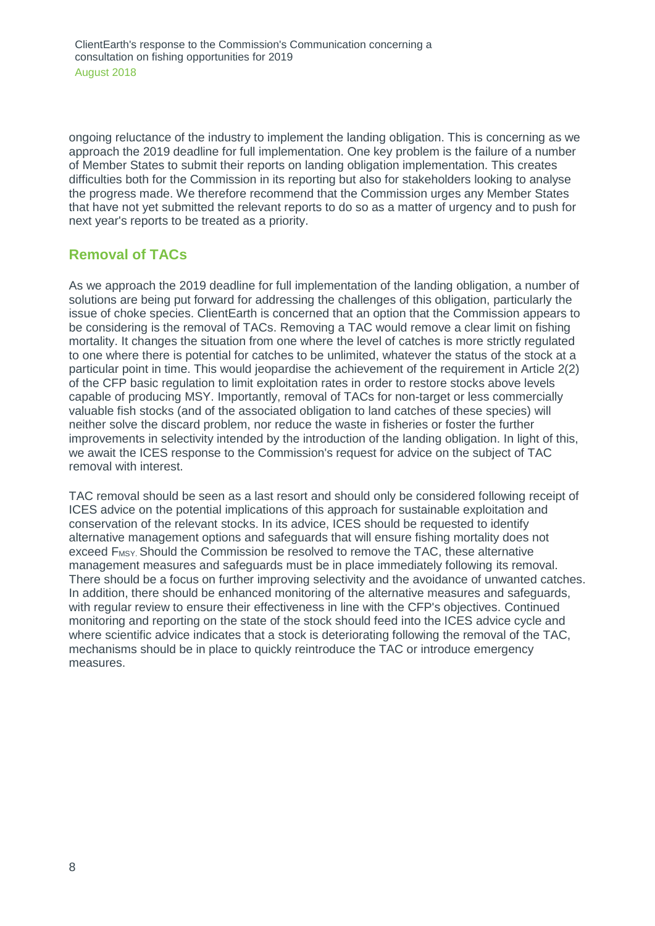ongoing reluctance of the industry to implement the landing obligation. This is concerning as we approach the 2019 deadline for full implementation. One key problem is the failure of a number of Member States to submit their reports on landing obligation implementation. This creates difficulties both for the Commission in its reporting but also for stakeholders looking to analyse the progress made. We therefore recommend that the Commission urges any Member States that have not yet submitted the relevant reports to do so as a matter of urgency and to push for next year's reports to be treated as a priority.

## **Removal of TACs**

As we approach the 2019 deadline for full implementation of the landing obligation, a number of solutions are being put forward for addressing the challenges of this obligation, particularly the issue of choke species. ClientEarth is concerned that an option that the Commission appears to be considering is the removal of TACs. Removing a TAC would remove a clear limit on fishing mortality. It changes the situation from one where the level of catches is more strictly regulated to one where there is potential for catches to be unlimited, whatever the status of the stock at a particular point in time. This would jeopardise the achievement of the requirement in Article 2(2) of the CFP basic regulation to limit exploitation rates in order to restore stocks above levels capable of producing MSY. Importantly, removal of TACs for non-target or less commercially valuable fish stocks (and of the associated obligation to land catches of these species) will neither solve the discard problem, nor reduce the waste in fisheries or foster the further improvements in selectivity intended by the introduction of the landing obligation. In light of this, we await the ICES response to the Commission's request for advice on the subject of TAC removal with interest.

TAC removal should be seen as a last resort and should only be considered following receipt of ICES advice on the potential implications of this approach for sustainable exploitation and conservation of the relevant stocks. In its advice, ICES should be requested to identify alternative management options and safeguards that will ensure fishing mortality does not exceed F<sub>MSY</sub>. Should the Commission be resolved to remove the TAC, these alternative management measures and safeguards must be in place immediately following its removal. There should be a focus on further improving selectivity and the avoidance of unwanted catches. In addition, there should be enhanced monitoring of the alternative measures and safeguards, with regular review to ensure their effectiveness in line with the CFP's objectives. Continued monitoring and reporting on the state of the stock should feed into the ICES advice cycle and where scientific advice indicates that a stock is deteriorating following the removal of the TAC, mechanisms should be in place to quickly reintroduce the TAC or introduce emergency measures.